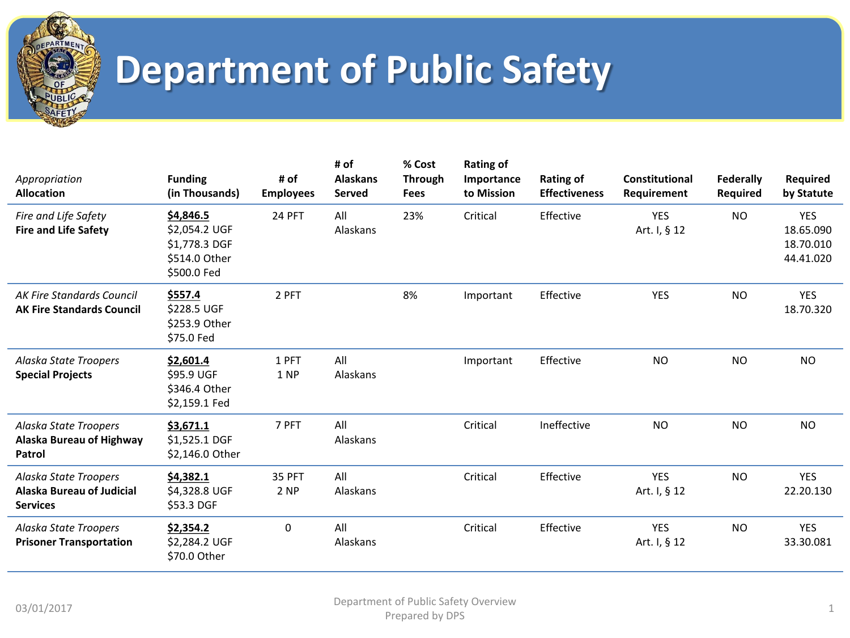

| Appropriation<br><b>Allocation</b>                                           | <b>Funding</b><br>(in Thousands)                                            | # of<br><b>Employees</b> | # of<br><b>Alaskans</b><br><b>Served</b> | % Cost<br><b>Through</b><br><b>Fees</b> | <b>Rating of</b><br>Importance<br>to Mission | <b>Rating of</b><br><b>Effectiveness</b> | <b>Constitutional</b><br>Requirement | Federally<br>Required | Required<br>by Statute                            |
|------------------------------------------------------------------------------|-----------------------------------------------------------------------------|--------------------------|------------------------------------------|-----------------------------------------|----------------------------------------------|------------------------------------------|--------------------------------------|-----------------------|---------------------------------------------------|
| Fire and Life Safety<br><b>Fire and Life Safety</b>                          | \$4,846.5<br>\$2,054.2 UGF<br>\$1,778.3 DGF<br>\$514.0 Other<br>\$500.0 Fed | 24 PFT                   | All<br>Alaskans                          | 23%                                     | Critical                                     | Effective                                | <b>YES</b><br>Art. I, § 12           | <b>NO</b>             | <b>YES</b><br>18.65.090<br>18.70.010<br>44.41.020 |
| <b>AK Fire Standards Council</b><br><b>AK Fire Standards Council</b>         | \$557.4<br>\$228.5 UGF<br>\$253.9 Other<br>\$75.0 Fed                       | 2 PFT                    |                                          | 8%                                      | Important                                    | Effective                                | <b>YES</b>                           | <b>NO</b>             | <b>YES</b><br>18.70.320                           |
| Alaska State Troopers<br><b>Special Projects</b>                             | \$2,601.4<br>\$95.9 UGF<br>\$346.4 Other<br>\$2,159.1 Fed                   | 1 PFT<br>1 NP            | All<br>Alaskans                          |                                         | Important                                    | Effective                                | <b>NO</b>                            | <b>NO</b>             | <b>NO</b>                                         |
| Alaska State Troopers<br>Alaska Bureau of Highway<br>Patrol                  | \$3,671.1<br>\$1,525.1 DGF<br>\$2,146.0 Other                               | 7 PFT                    | All<br>Alaskans                          |                                         | Critical                                     | Ineffective                              | <b>NO</b>                            | <b>NO</b>             | <b>NO</b>                                         |
| Alaska State Troopers<br><b>Alaska Bureau of Judicial</b><br><b>Services</b> | \$4,382.1<br>\$4,328.8 UGF<br>\$53.3 DGF                                    | 35 PFT<br>2 NP           | All<br>Alaskans                          |                                         | Critical                                     | Effective                                | <b>YES</b><br>Art. I, § 12           | <b>NO</b>             | <b>YES</b><br>22.20.130                           |
| Alaska State Troopers<br><b>Prisoner Transportation</b>                      | \$2,354.2<br>\$2,284.2 UGF<br>\$70.0 Other                                  | $\mathbf 0$              | All<br>Alaskans                          |                                         | Critical                                     | Effective                                | <b>YES</b><br>Art. I, § 12           | <b>NO</b>             | <b>YES</b><br>33.30.081                           |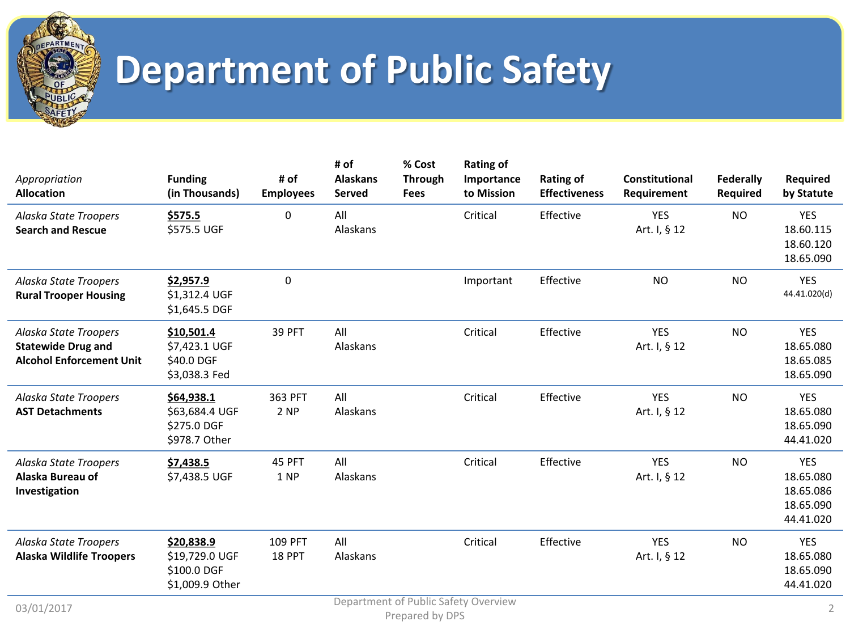

| Appropriation<br><b>Allocation</b>                                                    | <b>Funding</b><br>(in Thousands)                               | # of<br><b>Employees</b> | # of<br><b>Alaskans</b><br><b>Served</b> | % Cost<br><b>Through</b><br><b>Fees</b> | <b>Rating of</b><br>Importance<br>to Mission | <b>Rating of</b><br><b>Effectiveness</b> | <b>Constitutional</b><br>Requirement | <b>Federally</b><br>Required | Required<br>by Statute                                         |
|---------------------------------------------------------------------------------------|----------------------------------------------------------------|--------------------------|------------------------------------------|-----------------------------------------|----------------------------------------------|------------------------------------------|--------------------------------------|------------------------------|----------------------------------------------------------------|
| Alaska State Troopers<br><b>Search and Rescue</b>                                     | \$575.5<br>\$575.5 UGF                                         | 0                        | All<br>Alaskans                          |                                         | Critical                                     | Effective                                | <b>YES</b><br>Art. I, § 12           | <b>NO</b>                    | <b>YES</b><br>18.60.115<br>18.60.120<br>18.65.090              |
| Alaska State Troopers<br><b>Rural Trooper Housing</b>                                 | \$2,957.9<br>\$1,312.4 UGF<br>\$1,645.5 DGF                    | $\pmb{0}$                |                                          |                                         | Important                                    | Effective                                | <b>NO</b>                            | <b>NO</b>                    | <b>YES</b><br>44.41.020(d)                                     |
| Alaska State Troopers<br><b>Statewide Drug and</b><br><b>Alcohol Enforcement Unit</b> | \$10,501.4<br>\$7,423.1 UGF<br>\$40.0 DGF<br>\$3,038.3 Fed     | 39 PFT                   | All<br>Alaskans                          |                                         | Critical                                     | Effective                                | <b>YES</b><br>Art. I, § 12           | <b>NO</b>                    | <b>YES</b><br>18.65.080<br>18.65.085<br>18.65.090              |
| Alaska State Troopers<br><b>AST Detachments</b>                                       | \$64,938.1<br>\$63,684.4 UGF<br>\$275.0 DGF<br>\$978.7 Other   | 363 PFT<br>2 NP          | All<br>Alaskans                          |                                         | Critical                                     | Effective                                | <b>YES</b><br>Art. I, § 12           | <b>NO</b>                    | <b>YES</b><br>18.65.080<br>18.65.090<br>44.41.020              |
| Alaska State Troopers<br>Alaska Bureau of<br>Investigation                            | \$7,438.5<br>\$7,438.5 UGF                                     | 45 PFT<br>1 NP           | All<br>Alaskans                          |                                         | Critical                                     | Effective                                | <b>YES</b><br>Art. I, § 12           | <b>NO</b>                    | <b>YES</b><br>18.65.080<br>18.65.086<br>18.65.090<br>44.41.020 |
| Alaska State Troopers<br><b>Alaska Wildlife Troopers</b>                              | \$20,838.9<br>\$19,729.0 UGF<br>\$100.0 DGF<br>\$1,009.9 Other | 109 PFT<br>18 PPT        | All<br>Alaskans                          |                                         | Critical                                     | Effective                                | <b>YES</b><br>Art. I, § 12           | <b>NO</b>                    | <b>YES</b><br>18.65.080<br>18.65.090<br>44.41.020              |
| 03/01/2017                                                                            |                                                                |                          |                                          | Duesaus de L. DDC                       | Department of Public Safety Overview         |                                          |                                      |                              | $\overline{2}$                                                 |

Prepared by DPS 2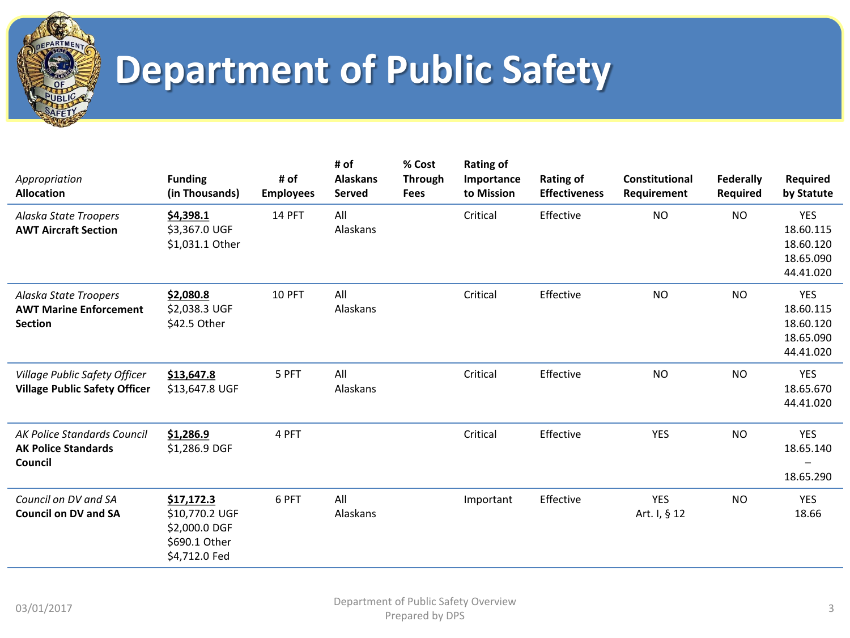

| Appropriation<br><b>Allocation</b>                                       | <b>Funding</b><br>(in Thousands)                                                | # of<br><b>Employees</b> | # of<br><b>Alaskans</b><br><b>Served</b> | % Cost<br><b>Through</b><br><b>Fees</b> | <b>Rating of</b><br>Importance<br>to Mission | <b>Rating of</b><br><b>Effectiveness</b> | <b>Constitutional</b><br>Requirement | <b>Federally</b><br><b>Required</b> | Required<br>by Statute                                         |
|--------------------------------------------------------------------------|---------------------------------------------------------------------------------|--------------------------|------------------------------------------|-----------------------------------------|----------------------------------------------|------------------------------------------|--------------------------------------|-------------------------------------|----------------------------------------------------------------|
| Alaska State Troopers<br><b>AWT Aircraft Section</b>                     | \$4,398.1<br>\$3,367.0 UGF<br>\$1,031.1 Other                                   | 14 PFT                   | All<br>Alaskans                          |                                         | Critical                                     | Effective                                | <b>NO</b>                            | <b>NO</b>                           | <b>YES</b><br>18.60.115<br>18.60.120<br>18.65.090<br>44.41.020 |
| Alaska State Troopers<br><b>AWT Marine Enforcement</b><br><b>Section</b> | \$2,080.8<br>\$2,038.3 UGF<br>\$42.5 Other                                      | 10 PFT                   | All<br>Alaskans                          |                                         | Critical                                     | Effective                                | <b>NO</b>                            | <b>NO</b>                           | <b>YES</b><br>18.60.115<br>18.60.120<br>18.65.090<br>44.41.020 |
| Village Public Safety Officer<br><b>Village Public Safety Officer</b>    | \$13,647.8<br>\$13,647.8 UGF                                                    | 5 PFT                    | All<br>Alaskans                          |                                         | Critical                                     | Effective                                | <b>NO</b>                            | <b>NO</b>                           | <b>YES</b><br>18.65.670<br>44.41.020                           |
| AK Police Standards Council<br><b>AK Police Standards</b><br>Council     | \$1,286.9<br>\$1,286.9 DGF                                                      | 4 PFT                    |                                          |                                         | Critical                                     | Effective                                | <b>YES</b>                           | <b>NO</b>                           | <b>YES</b><br>18.65.140<br>18.65.290                           |
| Council on DV and SA<br><b>Council on DV and SA</b>                      | \$17,172.3<br>\$10,770.2 UGF<br>\$2,000.0 DGF<br>\$690.1 Other<br>\$4,712.0 Fed | 6 PFT                    | All<br>Alaskans                          |                                         | Important                                    | Effective                                | <b>YES</b><br>Art. I, § 12           | <b>NO</b>                           | YES<br>18.66                                                   |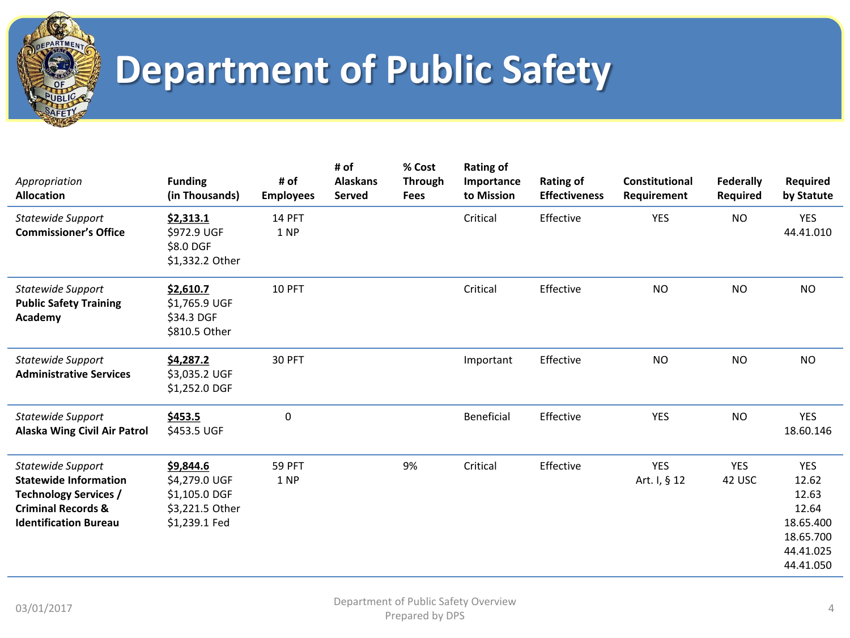

| Appropriation<br><b>Allocation</b>                                                                                                                 | <b>Funding</b><br>(in Thousands)                                                | # of<br><b>Employees</b> | # of<br><b>Alaskans</b><br><b>Served</b> | % Cost<br><b>Through</b><br><b>Fees</b> | <b>Rating of</b><br>Importance<br>to Mission | <b>Rating of</b><br><b>Effectiveness</b> | Constitutional<br>Requirement | <b>Federally</b><br><b>Required</b> | Required<br>by Statute                                                                    |
|----------------------------------------------------------------------------------------------------------------------------------------------------|---------------------------------------------------------------------------------|--------------------------|------------------------------------------|-----------------------------------------|----------------------------------------------|------------------------------------------|-------------------------------|-------------------------------------|-------------------------------------------------------------------------------------------|
| Statewide Support<br><b>Commissioner's Office</b>                                                                                                  | \$2,313.1<br>\$972.9 UGF<br>\$8.0 DGF<br>\$1,332.2 Other                        | <b>14 PFT</b><br>1 NP    |                                          |                                         | Critical                                     | Effective                                | <b>YES</b>                    | <b>NO</b>                           | <b>YES</b><br>44.41.010                                                                   |
| Statewide Support<br><b>Public Safety Training</b><br>Academy                                                                                      | \$2,610.7<br>\$1,765.9 UGF<br>\$34.3 DGF<br>\$810.5 Other                       | 10 PFT                   |                                          |                                         | Critical                                     | Effective                                | <b>NO</b>                     | <b>NO</b>                           | <b>NO</b>                                                                                 |
| <b>Statewide Support</b><br><b>Administrative Services</b>                                                                                         | \$4,287.2<br>\$3,035.2 UGF<br>\$1,252.0 DGF                                     | 30 PFT                   |                                          |                                         | Important                                    | Effective                                | <b>NO</b>                     | <b>NO</b>                           | <b>NO</b>                                                                                 |
| Statewide Support<br>Alaska Wing Civil Air Patrol                                                                                                  | \$453.5<br>\$453.5 UGF                                                          | 0                        |                                          |                                         | Beneficial                                   | Effective                                | <b>YES</b>                    | <b>NO</b>                           | <b>YES</b><br>18.60.146                                                                   |
| Statewide Support<br><b>Statewide Information</b><br><b>Technology Services /</b><br><b>Criminal Records &amp;</b><br><b>Identification Bureau</b> | \$9,844.6<br>\$4,279.0 UGF<br>\$1,105.0 DGF<br>\$3,221.5 Other<br>\$1,239.1 Fed | <b>59 PFT</b><br>1 NP    |                                          | 9%                                      | Critical                                     | Effective                                | <b>YES</b><br>Art. I, § 12    | <b>YES</b><br>42 USC                | <b>YES</b><br>12.62<br>12.63<br>12.64<br>18.65.400<br>18.65.700<br>44.41.025<br>44.41.050 |